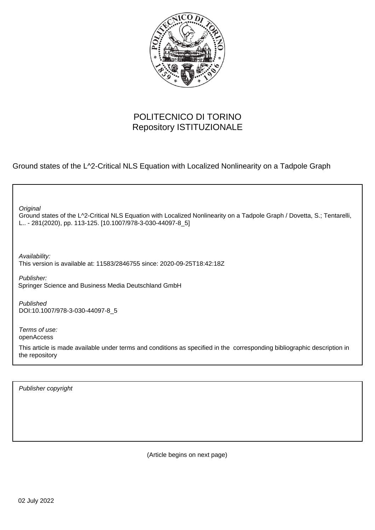

## POLITECNICO DI TORINO Repository ISTITUZIONALE

Ground states of the L^2-Critical NLS Equation with Localized Nonlinearity on a Tadpole Graph

Ground states of the L^2-Critical NLS Equation with Localized Nonlinearity on a Tadpole Graph / Dovetta, S.; Tentarelli, L.. - 281(2020), pp. 113-125. [10.1007/978-3-030-44097-8\_5] **Original** Publisher: Published DOI:10.1007/978-3-030-44097-8\_5 Terms of use: openAccess This article is made available under terms and conditions as specified in the corresponding bibliographic description in the repository Availability: This version is available at: 11583/2846755 since: 2020-09-25T18:42:18Z Springer Science and Business Media Deutschland GmbH

Publisher copyright

(Article begins on next page)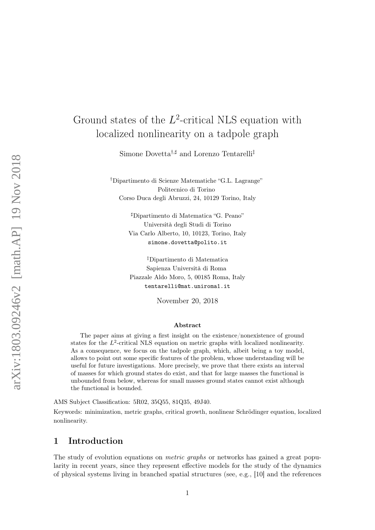# Ground states of the  $L^2$ -critical NLS equation with localized nonlinearity on a tadpole graph

Simone Dovetta<sup>†,‡</sup> and Lorenzo Tentarelli<sup>‡</sup>

†Dipartimento di Scienze Matematiche "G.L. Lagrange" Politecnico di Torino Corso Duca degli Abruzzi, 24, 10129 Torino, Italy

> ]Dipartimento di Matematica "G. Peano" Università degli Studi di Torino Via Carlo Alberto, 10, 10123, Torino, Italy simone.dovetta@polito.it

> ‡Dipartimento di Matematica Sapienza Università di Roma Piazzale Aldo Moro, 5, 00185 Roma, Italy tentarelli@mat.uniroma1.it

> > November 20, 2018

#### Abstract

The paper aims at giving a first insight on the existence/nonexistence of ground states for the  $L^2$ -critical NLS equation on metric graphs with localized nonlinearity. As a consequence, we focus on the tadpole graph, which, albeit being a toy model, allows to point out some specific features of the problem, whose understanding will be useful for future investigations. More precisely, we prove that there exists an interval of masses for which ground states do exist, and that for large masses the functional is unbounded from below, whereas for small masses ground states cannot exist although the functional is bounded.

AMS Subject Classification: 5R02, 35Q55, 81Q35, 49J40.

Keywords: minimization, metric graphs, critical growth, nonlinear Schrödinger equation, localized nonlinearity.

#### 1 Introduction

The study of evolution equations on *metric graphs* or networks has gained a great popularity in recent years, since they represent effective models for the study of the dynamics of physical systems living in branched spatial structures (see, e.g., [10] and the references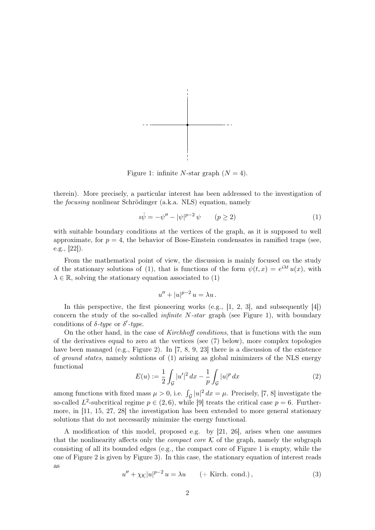

Figure 1: infinite N-star graph  $(N = 4)$ .

therein). More precisely, a particular interest has been addressed to the investigation of the focusing nonlinear Schrödinger (a.k.a. NLS) equation, namely

$$
i\dot{\psi} = -\psi'' - |\psi|^{p-2}\psi \qquad (p \ge 2)
$$
 (1)

with suitable boundary conditions at the vertices of the graph, as it is supposed to well approximate, for  $p = 4$ , the behavior of Bose-Einstein condensates in ramified traps (see, e.g., [22]).

From the mathematical point of view, the discussion is mainly focused on the study of the stationary solutions of (1), that is functions of the form  $\psi(t,x) = e^{i\lambda t} u(x)$ , with  $\lambda \in \mathbb{R}$ , solving the stationary equation associated to (1)

$$
u'' + |u|^{p-2} u = \lambda u.
$$

In this perspective, the first pioneering works (e.g.,  $[1, 2, 3]$ , and subsequently  $[4]$ ) concern the study of the so-called *infinite N-star* graph (see Figure 1), with boundary conditions of  $\delta$ -type or  $\delta'$ -type.

On the other hand, in the case of Kirchhoff conditions, that is functions with the sum of the derivatives equal to zero at the vertices (see (7) below), more complex topologies have been managed (e.g., Figure 2). In [7, 8, 9, 23] there is a discussion of the existence of ground states, namely solutions of (1) arising as global minimizers of the NLS energy functional

$$
E(u) := \frac{1}{2} \int_{\mathcal{G}} |u'|^2 \, dx - \frac{1}{p} \int_{\mathcal{G}} |u|^p \, dx \tag{2}
$$

among functions with fixed mass  $\mu > 0$ , i.e.  $\int_{\mathcal{G}} |u|^2 dx = \mu$ . Precisely, [7, 8] investigate the so-called L<sup>2</sup>-subcritical regime  $p \in (2,6)$ , while [9] treats the critical case  $p = 6$ . Furthermore, in [11, 15, 27, 28] the investigation has been extended to more general stationary solutions that do not necessarily minimize the energy functional.

A modification of this model, proposed e.g. by [21, 26], arises when one assumes that the nonlinearity affects only the *compact core*  $K$  of the graph, namely the subgraph consisting of all its bounded edges (e.g., the compact core of Figure 1 is empty, while the one of Figure 2 is given by Figure 3). In this case, the stationary equation of interest reads as

$$
u'' + \chi_{\mathcal{K}}|u|^{p-2}u = \lambda u \qquad (+ \text{ Kirch. cond.}),
$$
\n(3)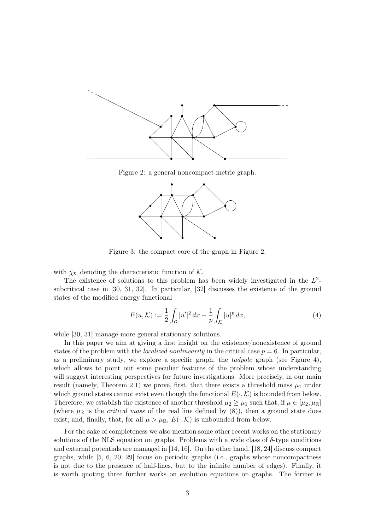

Figure 2: a general noncompact metric graph.



Figure 3: the compact core of the graph in Figure 2.

with  $\chi_K$  denoting the characteristic function of K.

The existence of solutions to this problem has been widely investigated in the  $L^2$ subcritical case in [30, 31, 32]. In particular, [32] discusses the existence of the ground states of the modified energy functional

$$
E(u,\mathcal{K}) := \frac{1}{2} \int_{\mathcal{G}} |u'|^2 \, dx - \frac{1}{p} \int_{\mathcal{K}} |u|^p \, dx,\tag{4}
$$

while [30, 31] manage more general stationary solutions.

In this paper we aim at giving a first insight on the existence/nonexistence of ground states of the problem with the *localized nonlinearity* in the critical case  $p = 6$ . In particular, as a preliminary study, we explore a specific graph, the  $tadpole$  graph (see Figure 4), which allows to point out some peculiar features of the problem whose understanding will suggest interesting perspectives for future investigations. More precisely, in our main result (namely, Theorem 2.1) we prove, first, that there exists a threshold mass  $\mu_1$  under which ground states cannot exist even though the functional  $E(\cdot,\mathcal{K})$  is bounded from below. Therefore, we establish the existence of another threshold  $\mu_2 \geq \mu_1$  such that, if  $\mu \in [\mu_2, \mu_{\mathbb{R}}]$ (where  $\mu_{\mathbb{R}}$  is the *critical mass* of the real line defined by (8)), then a ground state does exist; and, finally, that, for all  $\mu > \mu_{\mathbb{R}}$ ,  $E(\cdot,\mathcal{K})$  is unbounded from below.

For the sake of completeness we also mention some other recent works on the stationary solutions of the NLS equation on graphs. Problems with a wide class of  $\delta$ -type conditions and external potentials are managed in [14, 16]. On the other hand, [18, 24] discuss compact graphs, while [5, 6, 20, 29] focus on periodic graphs (i.e., graphs whose noncompactness is not due to the presence of half-lines, but to the infinite number of edges). Finally, it is worth quoting three further works on evolution equations on graphs. The former is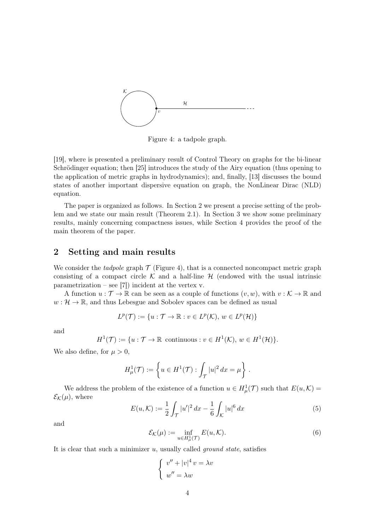

Figure 4: a tadpole graph.

[19], where is presented a preliminary result of Control Theory on graphs for the bi-linear Schrödinger equation; then [25] introduces the study of the Airy equation (thus opening to the application of metric graphs in hydrodynamics); and, finally, [13] discusses the bound states of another important dispersive equation on graph, the NonLinear Dirac (NLD) equation.

The paper is organized as follows. In Section 2 we present a precise setting of the problem and we state our main result (Theorem 2.1). In Section 3 we show some preliminary results, mainly concerning compactness issues, while Section 4 provides the proof of the main theorem of the paper.

### 2 Setting and main results

We consider the tadpole graph  $\mathcal T$  (Figure 4), that is a connected noncompact metric graph consisting of a compact circle K and a half-line  $H$  (endowed with the usual intrinsic parametrization – see [7]) incident at the vertex v.

A function  $u : \mathcal{T} \to \mathbb{R}$  can be seen as a couple of functions  $(v, w)$ , with  $v : \mathcal{K} \to \mathbb{R}$  and  $w: \mathcal{H} \to \mathbb{R}$ , and thus Lebesgue and Sobolev spaces can be defined as usual

$$
L^p(\mathcal{T}) := \{ u : \mathcal{T} \to \mathbb{R} : v \in L^p(\mathcal{K}), w \in L^p(\mathcal{H}) \}
$$

and

$$
H^1(\mathcal{T}):=\{u:\mathcal{T}\rightarrow \mathbb{R} \text{ continuous}: v\in H^1(\mathcal{K}),\, w\in H^1(\mathcal{H})\}.
$$

We also define, for  $\mu > 0$ ,

$$
H^1_{\mu}(\mathcal{T}) := \left\{ u \in H^1(\mathcal{T}) : \int_{\mathcal{T}} |u|^2 dx = \mu \right\}.
$$

We address the problem of the existence of a function  $u \in H^1_\mu(\mathcal{T})$  such that  $E(u,\mathcal{K}) =$  $\mathcal{E}_{\mathcal{K}}(\mu)$ , where

$$
E(u,\mathcal{K}) := \frac{1}{2} \int_{\mathcal{T}} |u'|^2 \, dx - \frac{1}{6} \int_{\mathcal{K}} |u|^6 \, dx \tag{5}
$$

and

$$
\mathcal{E}_{\mathcal{K}}(\mu) := \inf_{u \in H^1_{\mu}(\mathcal{T})} E(u, \mathcal{K}).\tag{6}
$$

It is clear that such a minimizer  $u$ , usually called *ground state*, satisfies

$$
\begin{cases}\nv'' + |v|^4 v = \lambda v \\
w'' = \lambda w\n\end{cases}
$$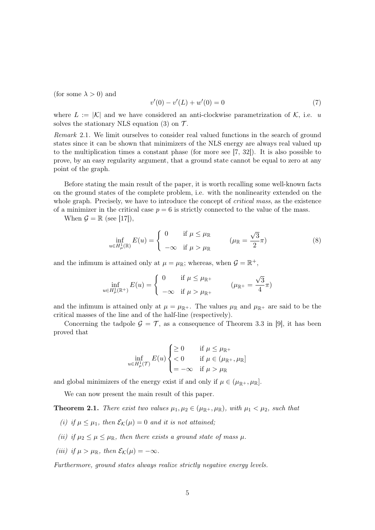(for some  $\lambda > 0$ ) and

$$
v'(0) - v'(L) + w'(0) = 0 \tag{7}
$$

where  $L := |\mathcal{K}|$  and we have considered an anti-clockwise parametrization of  $\mathcal{K}$ , i.e. u solves the stationary NLS equation (3) on  $\mathcal{T}$ .

Remark 2.1. We limit ourselves to consider real valued functions in the search of ground states since it can be shown that minimizers of the NLS energy are always real valued up to the multiplication times a constant phase (for more see [7, 32]). It is also possible to prove, by an easy regularity argument, that a ground state cannot be equal to zero at any point of the graph.

Before stating the main result of the paper, it is worth recalling some well-known facts on the ground states of the complete problem, i.e. with the nonlinearity extended on the whole graph. Precisely, we have to introduce the concept of *critical mass*, as the existence of a minimizer in the critical case  $p = 6$  is strictly connected to the value of the mass.

When  $\mathcal{G} = \mathbb{R}$  (see [17]),

$$
\inf_{u \in H^1_{\mu}(\mathbb{R})} E(u) = \begin{cases} 0 & \text{if } \mu \le \mu_{\mathbb{R}} \\ -\infty & \text{if } \mu > \mu_{\mathbb{R}} \end{cases} \qquad (\mu_{\mathbb{R}} = \frac{\sqrt{3}}{2}\pi) \tag{8}
$$

and the infimum is attained only at  $\mu = \mu_{\mathbb{R}}$ ; whereas, when  $\mathcal{G} = \mathbb{R}^+$ ,

$$
\inf_{u \in H^1_\mu(\mathbb{R}^+)} E(u) = \begin{cases} 0 & \text{if } \mu \le \mu_{\mathbb{R}^+} \\ -\infty & \text{if } \mu > \mu_{\mathbb{R}^+} \end{cases} \qquad (\mu_{\mathbb{R}^+} = \frac{\sqrt{3}}{4}\pi)
$$

and the infimum is attained only at  $\mu = \mu_{\mathbb{R}^+}$ . The values  $\mu_{\mathbb{R}}$  and  $\mu_{\mathbb{R}^+}$  are said to be the critical masses of the line and of the half-line (respectively).

Concerning the tadpole  $\mathcal{G} = \mathcal{T}$ , as a consequence of Theorem 3.3 in [9], it has been proved that

$$
\inf_{u \in H^1_{\mu}(\mathcal{T})} E(u) \begin{cases} \ge 0 & \text{if } \mu \le \mu_{\mathbb{R}^+} \\ < 0 & \text{if } \mu \in (\mu_{\mathbb{R}^+}, \mu_{\mathbb{R}}] \\ = -\infty & \text{if } \mu > \mu_{\mathbb{R}} \end{cases}
$$

and global minimizers of the energy exist if and only if  $\mu \in (\mu_{\mathbb{R}^+}, \mu_{\mathbb{R}}]$ .

We can now present the main result of this paper.

**Theorem 2.1.** There exist two values  $\mu_1, \mu_2 \in (\mu_{\mathbb{R}^+}, \mu_{\mathbb{R}})$ , with  $\mu_1 < \mu_2$ , such that

- (i) if  $\mu \leq \mu_1$ , then  $\mathcal{E}_{\mathcal{K}}(\mu) = 0$  and it is not attained;
- (ii) if  $\mu_2 \leq \mu \leq \mu \mathbb{R}$ , then there exists a ground state of mass  $\mu$ .
- (iii) if  $\mu > \mu_{\mathbb{R}}$ , then  $\mathcal{E}_{\mathcal{K}}(\mu) = -\infty$ .

Furthermore, ground states always realize strictly negative energy levels.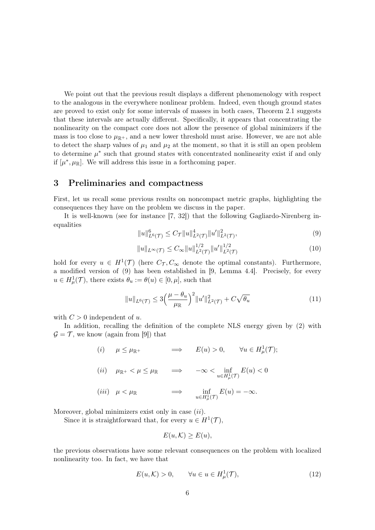We point out that the previous result displays a different phenomenology with respect to the analogous in the everywhere nonlinear problem. Indeed, even though ground states are proved to exist only for some intervals of masses in both cases, Theorem 2.1 suggests that these intervals are actually different. Specifically, it appears that concentrating the nonlinearity on the compact core does not allow the presence of global minimizers if the mass is too close to  $\mu_{\mathbb{R}^+}$ , and a new lower threshold must arise. However, we are not able to detect the sharp values of  $\mu_1$  and  $\mu_2$  at the moment, so that it is still an open problem to determine  $\mu^*$  such that ground states with concentrated nonlinearity exist if and only if  $[\mu^*, \mu_{\mathbb{R}}]$ . We will address this issue in a forthcoming paper.

#### 3 Preliminaries and compactness

First, let us recall some previous results on noncompact metric graphs, highlighting the consequences they have on the problem we discuss in the paper.

It is well-known (see for instance [7, 32]) that the following Gagliardo-Nirenberg inequalities

$$
||u||_{L^{6}(\mathcal{T})}^{6} \leq C_{\mathcal{T}}||u||_{L^{2}(\mathcal{T})}^{4}||u'||_{L^{2}(\mathcal{T})}^{2}, \tag{9}
$$

$$
||u||_{L^{\infty}(\mathcal{T})} \leq C_{\infty} ||u||_{L^{2}(\mathcal{T})}^{1/2} ||u'||_{L^{2}(\mathcal{T})}^{1/2}
$$
\n(10)

hold for every  $u \in H^1(\mathcal{T})$  (here  $C_{\mathcal{T}}, C_{\infty}$  denote the optimal constants). Furthermore, a modified version of (9) has been established in [9, Lemma 4.4]. Precisely, for every  $u \in H^1_\mu(\mathcal{T})$ , there exists  $\theta_u := \theta(u) \in [0, \mu]$ , such that

$$
||u||_{L^{6}(\mathcal{T})} \leq 3\left(\frac{\mu-\theta_{u}}{\mu_{\mathbb{R}}}\right)^{2}||u'||_{L^{2}(\mathcal{T})}^{2} + C\sqrt{\theta_{u}}
$$
\n(11)

with  $C > 0$  independent of u.

In addition, recalling the definition of the complete NLS energy given by (2) with  $\mathcal{G} = \mathcal{T}$ , we know (again from [9]) that

(i) 
$$
\mu \le \mu_{\mathbb{R}^+}
$$
  $\implies$   $E(u) > 0$ ,  $\forall u \in H^1_\mu(\mathcal{T});$   
\n(ii)  $\mu_{\mathbb{R}^+} < \mu \le \mu_{\mathbb{R}}$   $\implies$   $-\infty < \inf_{u \in H^1_\mu(\mathcal{T})} E(u) < 0$   
\n(iii)  $\mu < \mu_{\mathbb{R}}$   $\implies$   $\inf_{u \in H^1_\mu(\mathcal{T})} E(u) = -\infty$ .

Moreover, global minimizers exist only in case  $(ii)$ .

Since it is straightforward that, for every  $u \in H^1(\mathcal{T})$ ,

$$
E(u, \mathcal{K}) \ge E(u),
$$

the previous observations have some relevant consequences on the problem with localized nonlinearity too. In fact, we have that

$$
E(u,\mathcal{K}) > 0, \qquad \forall u \in u \in H^1_\mu(\mathcal{T}), \tag{12}
$$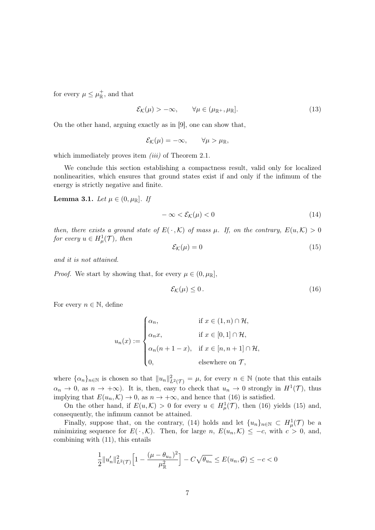for every  $\mu \leq \mu_{\mathbb{R}}^+$ , and that

$$
\mathcal{E}_{\mathcal{K}}(\mu) > -\infty, \qquad \forall \mu \in (\mu_{\mathbb{R}^+}, \mu_{\mathbb{R}}]. \tag{13}
$$

On the other hand, arguing exactly as in [9], one can show that,

$$
\mathcal{E}_{\mathcal{K}}(\mu) = -\infty, \qquad \forall \mu > \mu_{\mathbb{R}},
$$

which immediately proves item  $(iii)$  of Theorem 2.1.

We conclude this section establishing a compactness result, valid only for localized nonlinearities, which ensures that ground states exist if and only if the infimum of the energy is strictly negative and finite.

Lemma 3.1. Let  $\mu \in (0, \mu_{\mathbb{R}}]$ . If

$$
-\infty < \mathcal{E}_{\mathcal{K}}(\mu) < 0 \tag{14}
$$

then, there exists a ground state of  $E(\cdot,\mathcal{K})$  of mass  $\mu$ . If, on the contrary,  $E(u,\mathcal{K}) > 0$ for every  $u \in H^1_\mu(\mathcal{T})$ , then

$$
\mathcal{E}_{\mathcal{K}}(\mu) = 0 \tag{15}
$$

and it is not attained.

*Proof.* We start by showing that, for every  $\mu \in (0, \mu_{\mathbb{R}}]$ ,

$$
\mathcal{E}_{\mathcal{K}}(\mu) \le 0. \tag{16}
$$

For every  $n \in \mathbb{N}$ , define

$$
u_n(x) := \begin{cases} \alpha_n, & \text{if } x \in (1, n) \cap \mathcal{H}, \\ \alpha_n x, & \text{if } x \in [0, 1] \cap \mathcal{H}, \\ \alpha_n (n + 1 - x), & \text{if } x \in [n, n + 1] \cap \mathcal{H}, \\ 0, & \text{elsewhere on } \mathcal{T}, \end{cases}
$$

where  $\{\alpha_n\}_{n\in\mathbb{N}}$  is chosen so that  $||u_n||^2_{L^2(\mathcal{T})} = \mu$ , for every  $n \in \mathbb{N}$  (note that this entails  $\alpha_n \to 0$ , as  $n \to +\infty$ ). It is, then, easy to check that  $u_n \to 0$  strongly in  $H^1(\mathcal{T})$ , thus implying that  $E(u_n, \mathcal{K}) \to 0$ , as  $n \to +\infty$ , and hence that (16) is satisfied.

On the other hand, if  $E(u,\mathcal{K}) > 0$  for every  $u \in H^1_\mu(\mathcal{T})$ , then (16) yields (15) and, consequently, the infimum cannot be attained.

Finally, suppose that, on the contrary, (14) holds and let  $\{u_n\}_{n\in\mathbb{N}}\subset H^1_\mu(\mathcal{T})$  be a minimizing sequence for  $E(\cdot,\mathcal{K})$ . Then, for large n,  $E(u_n,\mathcal{K}) \leq -c$ , with  $c > 0$ , and, combining with (11), this entails

$$
\frac{1}{2}||u'_n||_{L^2(\mathcal{T})}^2\Big[1-\frac{(\mu-\theta_{u_n})^2}{\mu_{\mathbb{R}}^2}\Big]-C\sqrt{\theta_{u_n}}\leq E(u_n,\mathcal{G})\leq -c<0
$$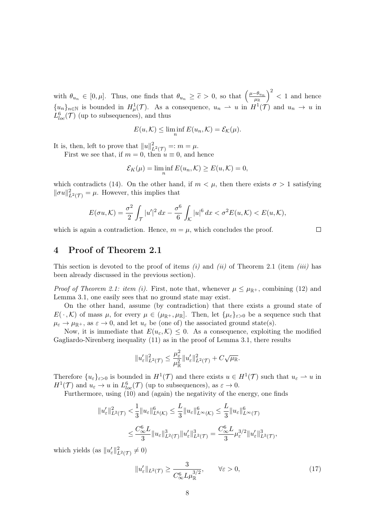with  $\theta_{u_n} \in [0, \mu]$ . Thus, one finds that  $\theta_{u_n} \geq \tilde{c} > 0$ , so that  $\left(\frac{\mu - \theta_{u_n}}{\mu_R}\right)^2 < 1$  and hence  ${u_n}_{n\in\mathbb{N}}$  is bounded in  $H^1_\mu(\mathcal{T})$ . As a consequence,  $u_n \rightharpoonup u$  in  $H^1(\mathcal{T})$  and  $u_n \rightharpoonup u$  in  $L_{loc}^{6}(\mathcal{T})$  (up to subsequences), and thus

$$
E(u,\mathcal{K}) \le \liminf_{n} E(u_n,\mathcal{K}) = \mathcal{E}_{\mathcal{K}}(\mu).
$$

It is, then, left to prove that  $||u||_{L^2(\mathcal{T})}^2 =: m = \mu$ .

First we see that, if  $m = 0$ , then  $u \equiv 0$ , and hence

$$
\mathcal{E}_K(\mu) = \liminf_n E(u_n, K) \ge E(u, K) = 0,
$$

which contradicts (14). On the other hand, if  $m < \mu$ , then there exists  $\sigma > 1$  satisfying  $\|\sigma u\|_{L^2(\mathcal{T})}^2 = \mu$ . However, this implies that

$$
E(\sigma u, \mathcal{K}) = \frac{\sigma^2}{2} \int_{\mathcal{T}} |u'|^2 dx - \frac{\sigma^6}{6} \int_{\mathcal{K}} |u|^6 dx < \sigma^2 E(u, \mathcal{K}) < E(u, \mathcal{K}),
$$

 $\Box$ 

which is again a contradiction. Hence,  $m = \mu$ , which concludes the proof.

#### 4 Proof of Theorem 2.1

This section is devoted to the proof of items (i) and (ii) of Theorem 2.1 (item (iii) has been already discussed in the previous section).

*Proof of Theorem 2.1: item (i).* First, note that, whenever  $\mu \leq \mu_{\mathbb{R}^+}$ , combining (12) and Lemma 3.1, one easily sees that no ground state may exist.

On the other hand, assume (by contradiction) that there exists a ground state of  $E(\cdot,\mathcal{K})$  of mass  $\mu$ , for every  $\mu \in (\mu_{\mathbb{R}^+}, \mu_{\mathbb{R}}]$ . Then, let  $\{\mu_{\varepsilon}\}_{\varepsilon>0}$  be a sequence such that  $\mu_{\varepsilon} \to \mu_{\mathbb{R}^+}$ , as  $\varepsilon \to 0$ , and let  $u_{\varepsilon}$  be (one of) the associated ground state(s).

Now, it is immediate that  $E(u_{\varepsilon}, \mathcal{K}) \leq 0$ . As a consequence, exploiting the modified Gagliardo-Nirenberg inequality (11) as in the proof of Lemma 3.1, there results

$$
||u_\varepsilon'||_{L^2(\mathcal{T})}^2 \leq \frac{\mu_\varepsilon^2}{\mu_\mathbb{R}^2} ||u_\varepsilon'||_{L^2(\mathcal{T})}^2 + C\sqrt{\mu_\mathbb{R}}.
$$

Therefore  $\{u_{\varepsilon}\}_{{\varepsilon}>0}$  is bounded in  $H^1(\mathcal{T})$  and there exists  $u \in H^1(\mathcal{T})$  such that  $u_{\varepsilon} \to u$  in  $H^1(\mathcal{T})$  and  $u_{\varepsilon} \to u$  in  $L^6_{loc}(\mathcal{T})$  (up to subsequences), as  $\varepsilon \to 0$ .

Furthermore, using (10) and (again) the negativity of the energy, one finds

$$
\begin{aligned} \|u_{\varepsilon}'\|_{L^2(\mathcal{T})}^2 &< \frac{1}{3} \|u_{\varepsilon}\|_{L^6(\mathcal{K})}^6 \leq \frac{L}{3} \|u_{\varepsilon}\|_{L^{\infty}(\mathcal{K})}^6 \leq \frac{L}{3} \|u_{\varepsilon}\|_{L^{\infty}(\mathcal{T})}^6 \\ &< \frac{C_{\infty}^6 L}{3} \|u_{\varepsilon}\|_{L^2(\mathcal{T})}^3 \|u_{\varepsilon}'\|_{L^2(\mathcal{T})}^3 = \frac{C_{\infty}^6 L}{3} \mu_{\varepsilon}^{3/2} \|u_{\varepsilon}'\|_{L^2(\mathcal{T})}^3, \end{aligned}
$$

which yields (as  $||u'_{\varepsilon}||_{L^2(\mathcal{T})}^2 \neq 0$ )

$$
||u'_{\varepsilon}||_{L^{2}(\mathcal{T})} \geq \frac{3}{C_{\infty}^{6} L \mu_{\mathbb{R}}^{3/2}}, \qquad \forall \varepsilon > 0,
$$
\n(17)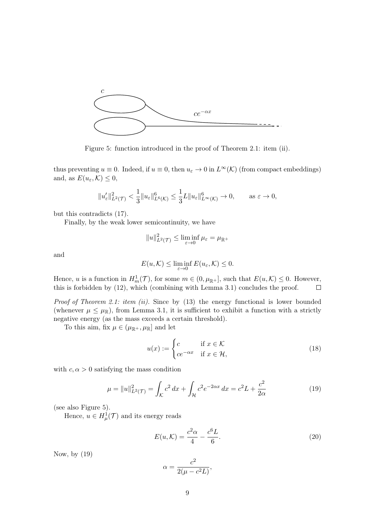

Figure 5: function introduced in the proof of Theorem 2.1: item (ii).

thus preventing  $u \equiv 0$ . Indeed, if  $u \equiv 0$ , then  $u_{\varepsilon} \to 0$  in  $L^{\infty}(\mathcal{K})$  (from compact embeddings) and, as  $E(u_{\varepsilon}, \mathcal{K}) \leq 0$ ,

$$
||u'_{\varepsilon}||_{L^{2}(\mathcal{T})}^{2} < \frac{1}{3}||u_{\varepsilon}||_{L^{6}(\mathcal{K})}^{6} \leq \frac{1}{3}L||u_{\varepsilon}||_{L^{\infty}(\mathcal{K})}^{6} \to 0, \quad \text{as } \varepsilon \to 0,
$$

but this contradicts (17).

Finally, by the weak lower semicontinuity, we have

$$
||u||_{L^{2}(\mathcal{T})}^{2} \leq \liminf_{\varepsilon \to 0} \mu_{\varepsilon} = \mu_{\mathbb{R}^{+}}
$$

and

$$
E(u,\mathcal{K}) \le \liminf_{\varepsilon \to 0} E(u_{\varepsilon},\mathcal{K}) \le 0.
$$

Hence, u is a function in  $H^1_m(\mathcal{T})$ , for some  $m \in (0, \mu_{\mathbb{R}^+}]$ , such that  $E(u,\mathcal{K}) \leq 0$ . However, this is forbidden by (12), which (combining with Lemma 3.1) concludes the proof.  $\Box$ 

*Proof of Theorem 2.1: item (ii).* Since by  $(13)$  the energy functional is lower bounded (whenever  $\mu \leq \mu_{\mathbb{R}}$ ), from Lemma 3.1, it is sufficient to exhibit a function with a strictly negative energy (as the mass exceeds a certain threshold).

To this aim, fix  $\mu \in (\mu_{\mathbb{R}^+}, \mu_{\mathbb{R}}]$  and let

$$
u(x) := \begin{cases} c & \text{if } x \in \mathcal{K} \\ ce^{-\alpha x} & \text{if } x \in \mathcal{H}, \end{cases}
$$
 (18)

with  $c, \alpha > 0$  satisfying the mass condition

$$
\mu = \|u\|_{L^2(\mathcal{T})}^2 = \int_{\mathcal{K}} c^2 dx + \int_{\mathcal{H}} c^2 e^{-2\alpha x} dx = c^2 L + \frac{c^2}{2\alpha} \tag{19}
$$

(see also Figure 5).

Hence,  $u \in H^1_\mu(\mathcal{T})$  and its energy reads

$$
E(u,\mathcal{K}) = \frac{c^2 \alpha}{4} - \frac{c^6 L}{6}.
$$
\n(20)

Now, by (19)

$$
\alpha = \frac{c^2}{2(\mu - c^2L)},
$$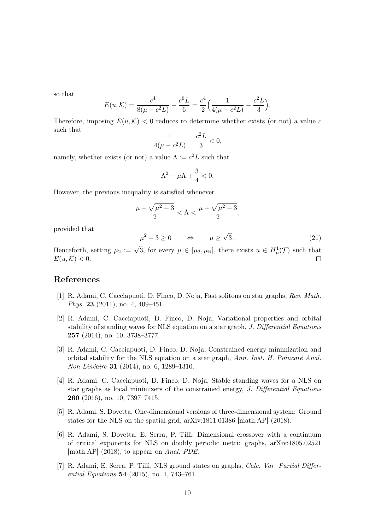so that

$$
E(u,\mathcal{K}) = \frac{c^4}{8(\mu - c^2L)} - \frac{c^6L}{6} = \frac{c^4}{2} \Big( \frac{1}{4(\mu - c^2L)} - \frac{c^2L}{3} \Big).
$$

Therefore, imposing  $E(u, K) < 0$  reduces to determine whether exists (or not) a value c such that

$$
\frac{1}{4(\mu - c^2L)} - \frac{c^2L}{3} < 0,
$$

namely, whether exists (or not) a value  $\Lambda := c^2 L$  such that

$$
\Lambda^2-\mu\Lambda+\frac{3}{4}<0.
$$

However, the previous inequality is satisfied whenever

$$
\frac{\mu-\sqrt{\mu^2-3}}{2}<\Lambda<\frac{\mu+\sqrt{\mu^2-3}}{2},
$$

provided that

$$
\mu^2 - 3 \ge 0 \qquad \Leftrightarrow \qquad \mu \ge \sqrt{3} \,. \tag{21}
$$

Henceforth, setting  $\mu_2 := \sqrt{3}$ , for every  $\mu \in [\mu_2, \mu_\mathbb{R}]$ , there exists  $u \in H^1_\mu(\mathcal{T})$  such that  $E(u, \mathcal{K}) < 0.$  $\Box$ 

#### References

- [1] R. Adami, C. Cacciapuoti, D. Finco, D. Noja, Fast solitons on star graphs, Rev. Math. Phys. 23 (2011), no. 4, 409–451.
- [2] R. Adami, C. Cacciapuoti, D. Finco, D. Noja, Variational properties and orbital stability of standing waves for NLS equation on a star graph, J. Differential Equations 257 (2014), no. 10, 3738–3777.
- [3] R. Adami, C. Cacciapuoti, D. Finco, D. Noja, Constrained energy minimization and orbital stability for the NLS equation on a star graph, Ann. Inst. H. Poincaré Anal. Non Linéaire 31 (2014), no. 6, 1289–1310.
- [4] R. Adami, C. Cacciapuoti, D. Finco, D. Noja, Stable standing waves for a NLS on star graphs as local minimizers of the constrained energy, J. Differential Equations 260 (2016), no. 10, 7397–7415.
- [5] R. Adami, S. Dovetta, One-dimensional versions of three-dimensional system: Ground states for the NLS on the spatial grid, arXiv:1811.01386 [math.AP] (2018).
- [6] R. Adami, S. Dovetta, E. Serra, P. Tilli, Dimensional crossover with a continuum of critical exponents for NLS on doubly periodic metric graphs, arXiv:1805.02521 [math.AP] (2018), to appear on Anal. PDE.
- [7] R. Adami, E. Serra, P. Tilli, NLS ground states on graphs, Calc. Var. Partial Differential Equations 54 (2015), no. 1, 743–761.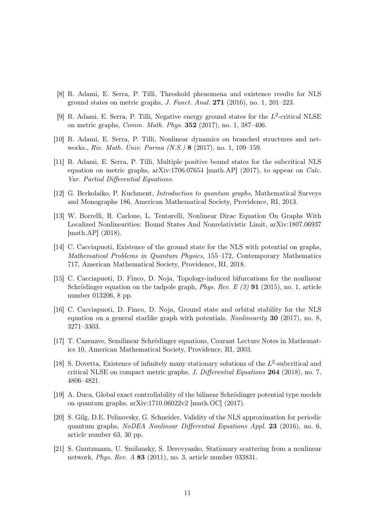- [8] R. Adami, E. Serra, P. Tilli, Threshold phenomena and existence results for NLS ground states on metric graphs, J. Funct. Anal.  $271$  (2016), no. 1, 201–223.
- [9] R. Adami, E. Serra, P. Tilli, Negative energy ground states for the  $L^2$ -critical NLSE on metric graphs, Comm. Math. Phys. 352 (2017), no. 1, 387–406.
- [10] R. Adami, E. Serra, P. Tilli, Nonlinear dynamics on branched structures and networks., Riv. Math. Univ. Parma (N.S.) 8 (2017), no. 1, 109–159.
- [11] R. Adami, E. Serra, P. Tilli, Multiple positive bound states for the subcritical NLS equation on metric graphs,  $arXiv:1706.07654$  [math.AP] (2017), to appear on *Calc.* Var. Partial Differential Equations.
- [12] G. Berkolaiko, P. Kuchment, Introduction to quantum graphs, Mathematical Surveys and Monographs 186, American Mathematical Society, Providence, RI, 2013.
- [13] W. Borrelli, R. Carlone, L. Tentarelli, Nonlinear Dirac Equation On Graphs With Localized Nonlinearities: Bound States And Nonrelativistic Limit, arXiv:1807.06937 [math.AP] (2018).
- [14] C. Cacciapuoti, Existence of the ground state for the NLS with potential on graphs, Mathematical Problems in Quantum Physics, 155–172, Contemporary Mathematics 717, American Mathematical Society, Providence, RI, 2018.
- [15] C. Cacciapuoti, D. Finco, D. Noja, Topology-induced bifurcations for the nonlinear Schrödinger equation on the tadpole graph, *Phys. Rev. E* (3) **91** (2015), no. 1, article number 013206, 8 pp.
- [16] C. Cacciapuoti, D. Finco, D. Noja, Ground state and orbital stability for the NLS equation on a general starlike graph with potentials, *Nonlinearity* **30** (2017), no. 8, 3271–3303.
- [17] T. Cazenave, Semilinear Schrödinger equations, Courant Lecture Notes in Mathematics 10, American Mathematical Society, Providence, RI, 2003.
- [18] S. Dovetta, Existence of infinitely many stationary solutions of the  $L^2$ -subcritical and critical NLSE on compact metric graphs, J. Differential Equations 264 (2018), no. 7, 4806–4821.
- [19] A. Duca, Global exact controllability of the bilinear Schrödinger potential type models on quantum graphs, arXiv:1710.06022v2 [math.OC] (2017).
- [20] S. Gilg, D.E. Pelinovsky, G. Schneider, Validity of the NLS approximation for periodic quantum graphs, NoDEA Nonlinear Differential Equations Appl. 23 (2016), no. 6, article number 63, 30 pp.
- [21] S. Gnutzmann, U. Smilansky, S. Derevyanko, Stationary scattering from a nonlinear network, Phys. Rev. A 83 (2011), no. 3, article number 033831.